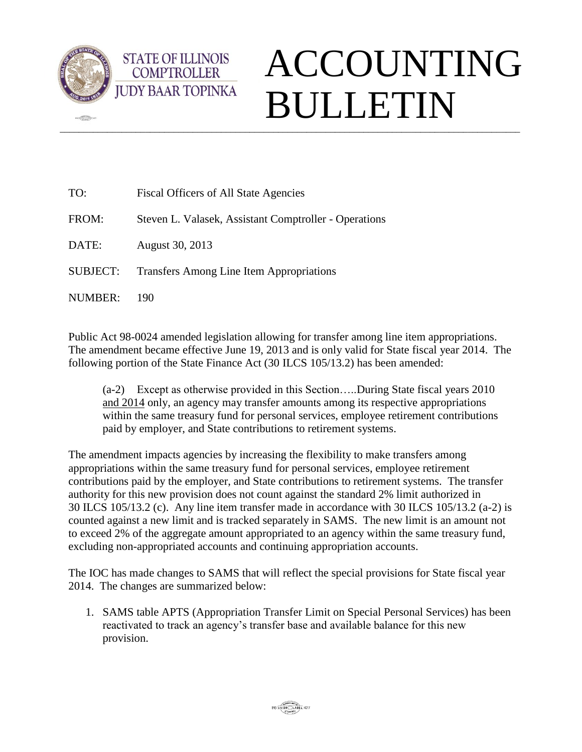

 $\sqrt{2\pi}$ 

## $\_$  ,  $\_$  ,  $\_$  ,  $\_$  ,  $\_$  ,  $\_$  ,  $\_$  ,  $\_$  ,  $\_$  ,  $\_$  ,  $\_$  ,  $\_$  ,  $\_$  ,  $\_$  ,  $\_$  ,  $\_$  ,  $\_$  ,  $\_$  ,  $\_$  ,  $\_$  ,  $\_$  ,  $\_$  ,  $\_$  ,  $\_$  ,  $\_$  ,  $\_$  ,  $\_$  ,  $\_$  ,  $\_$  ,  $\_$  ,  $\_$  ,  $\_$  ,  $\_$  ,  $\_$  ,  $\_$  ,  $\_$  ,  $\_$  , ACCOUNTING BULLETIN

| TO:             | Fiscal Officers of All State Agencies                 |
|-----------------|-------------------------------------------------------|
| FROM:           | Steven L. Valasek, Assistant Comptroller - Operations |
| DATE:           | August 30, 2013                                       |
| <b>SUBJECT:</b> | <b>Transfers Among Line Item Appropriations</b>       |
| NUMBER:         | 190                                                   |

**STATE OF ILLINOIS COMPTROLLER** 

Public Act 98-0024 amended legislation allowing for transfer among line item appropriations. The amendment became effective June 19, 2013 and is only valid for State fiscal year 2014. The following portion of the State Finance Act (30 ILCS 105/13.2) has been amended:

(a-2) Except as otherwise provided in this Section…..During State fiscal years 2010 and 2014 only, an agency may transfer amounts among its respective appropriations within the same treasury fund for personal services, employee retirement contributions paid by employer, and State contributions to retirement systems.

The amendment impacts agencies by increasing the flexibility to make transfers among appropriations within the same treasury fund for personal services, employee retirement contributions paid by the employer, and State contributions to retirement systems. The transfer authority for this new provision does not count against the standard 2% limit authorized in 30 ILCS 105/13.2 (c). Any line item transfer made in accordance with 30 ILCS 105/13.2 (a-2) is counted against a new limit and is tracked separately in SAMS. The new limit is an amount not to exceed 2% of the aggregate amount appropriated to an agency within the same treasury fund, excluding non-appropriated accounts and continuing appropriation accounts.

The IOC has made changes to SAMS that will reflect the special provisions for State fiscal year 2014. The changes are summarized below:

1. SAMS table APTS (Appropriation Transfer Limit on Special Personal Services) has been reactivated to track an agency's transfer base and available balance for this new provision.